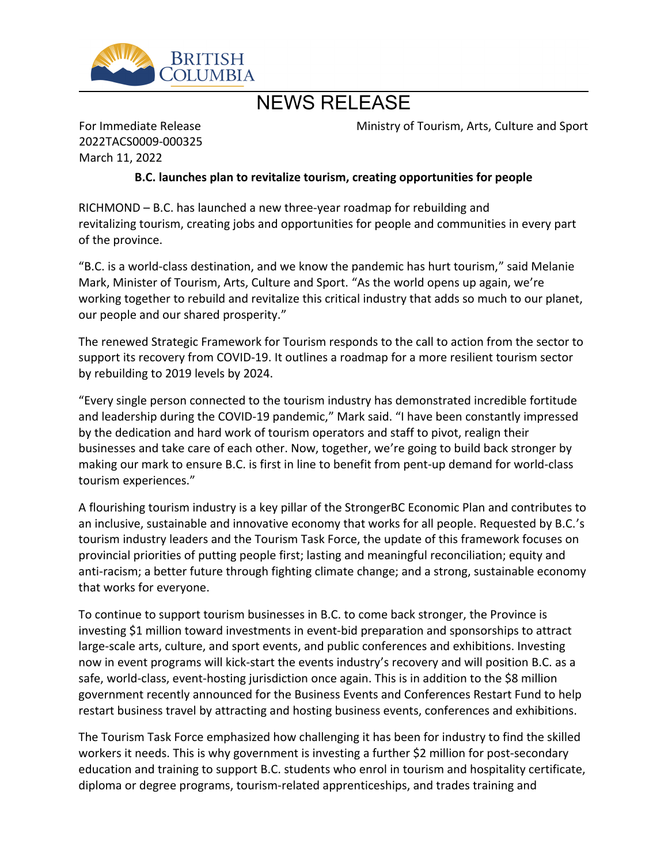

# NEWS RELEASE

For Immediate Release 2022TACS0009-000325 March 11, 2022

Ministry of Tourism, Arts, Culture and Sport

### **B.C. launches plan to revitalize tourism, creating opportunities for people**

 $RICHMOND - B.C.$  has launched a new three-year roadmap for rebuilding and revitalizing tourism, creating jobs and opportunities for people and communities in every part of the province.

͞B.C. is a world-class destination, and we know the pandemic has hurt tourism,͟said Melanie Mark, Minister of Tourism, Arts, Culture and Sport. "As the world opens up again, we're working together to rebuild and revitalize this critical industry that adds so much to our planet, our people and our shared prosperity."

The renewed Strategic Framework for Tourism responds to the call to action from the sector to support its recovery from COVID-19. It outlines a roadmap for a more resilient tourism sector by rebuilding to 2019 levels by 2024.

͞Every single person connected to the tourism industry has demonstrated incredible fortitude and leadership during the COVID-19 pandemic," Mark said. "I have been constantly impressed by the dedication and hard work of tourism operators and staff to pivot, realign their businesses and take care of each other. Now, together, we're going to build back stronger by making our mark to ensure B.C. is first in line to benefit from pent-up demand for world-class tourism experiences."

A flourishing tourism industry is a key pillar of the StrongerBC Economic Plan and contributes to an inclusive, sustainable and innovative economy that works for all people. Requested by B.C.'s tourism industry leaders and the Tourism Task Force, the update of this framework focuses on provincial priorities of putting people first; lasting and meaningful reconciliation; equity and anti-racism; a better future through fighting climate change; and a strong, sustainable economy that works for everyone.

To continue to support tourism businesses in B.C. to come back stronger, the Province is investing \$1 million toward investments in event-bid preparation and sponsorships to attract large-scale arts, culture, and sport events, and public conferences and exhibitions. Investing now in event programs will kick-start the events industry's recovery and will position B.C. as a safe, world-class, event-hosting jurisdiction once again. This is in addition to the \$8 million government recently announced for the Business Events and Conferences Restart Fund to help restart business travel by attracting and hosting business events, conferences and exhibitions.

The Tourism Task Force emphasized how challenging it has been for industry to find the skilled workers it needs. This is why government is investing a further \$2 million for post-secondary education and training to support B.C. students who enrol in tourism and hospitality certificate, diploma or degree programs, tourism-related apprenticeships, and trades training and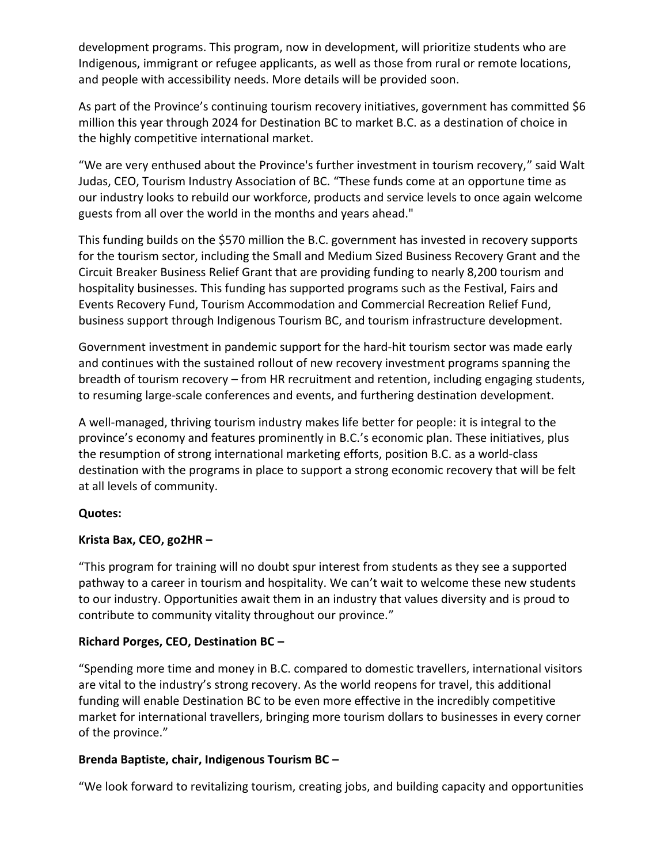development programs. This program, now in development, will prioritize students who are Indigenous, immigrant or refugee applicants, as well as those from rural or remote locations, and people with accessibility needs. More details will be provided soon.

As part of the Province's continuing tourism recovery initiatives, government has committed \$6 million this year through 2024 for Destination BC to market B.C. as a destination of choice in the highly competitive international market.

"We are very enthused about the Province's further investment in tourism recovery," said Walt Judas, CEO, Tourism Industry Association of BC. "These funds come at an opportune time as our industry looks to rebuild our workforce, products and service levels to once again welcome guests from all over the world in the months and years ahead."

This funding builds on the \$570 million the B.C. government has invested in recovery supports for the tourism sector, including the Small and Medium Sized Business Recovery Grant and the Circuit Breaker Business Relief Grant that are providing funding to nearly 8,200 tourism and hospitality businesses. This funding has supported programs such as the Festival, Fairs and Events Recovery Fund, Tourism Accommodation and Commercial Recreation Relief Fund, business support through Indigenous Tourism BC, and tourism infrastructure development.

Government investment in pandemic support for the hard-hit tourism sector was made early and continues with the sustained rollout of new recovery investment programs spanning the breadth of tourism recovery – from HR recruitment and retention, including engaging students, to resuming large-scale conferences and events, and furthering destination development.

A well-managed, thriving tourism industry makes life better for people: it is integral to the province's economy and features prominently in B.C.'s economic plan. These initiatives, plus the resumption of strong international marketing efforts, position B.C. as a world-class destination with the programs in place to support a strong economic recovery that will be felt at all levels of community.

#### **Quotes:**

## Krista Bax, CEO, go2HR -

͞This program for training will no doubt spur interest from students as they see a supported pathway to a career in tourism and hospitality. We can't wait to welcome these new students to our industry. Opportunities await them in an industry that values diversity and is proud to contribute to community vitality throughout our province."

#### **Richard Porges, CEO, Destination BC -**

͞Spending more time and money in B.C. compared to domestic travellers, international visitors are vital to the industry's strong recovery. As the world reopens for travel, this additional funding will enable Destination BC to be even more effective in the incredibly competitive market for international travellers, bringing more tourism dollars to businesses in every corner of the province."

#### **Brenda Baptiste, chair, Indigenous Tourism BC ʹ**

͞We look forward to revitalizing tourism, creating jobs, and building capacity and opportunities